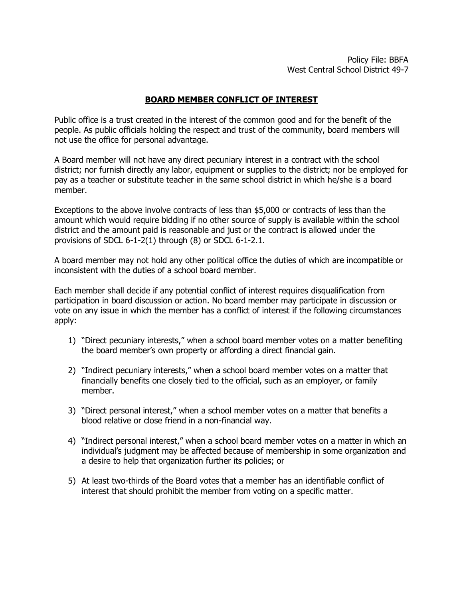## **BOARD MEMBER CONFLICT OF INTEREST**

Public office is a trust created in the interest of the common good and for the benefit of the people. As public officials holding the respect and trust of the community, board members will not use the office for personal advantage.

A Board member will not have any direct pecuniary interest in a contract with the school district; nor furnish directly any labor, equipment or supplies to the district; nor be employed for pay as a teacher or substitute teacher in the same school district in which he/she is a board member.

Exceptions to the above involve contracts of less than \$5,000 or contracts of less than the amount which would require bidding if no other source of supply is available within the school district and the amount paid is reasonable and just or the contract is allowed under the provisions of SDCL 6-1-2(1) through (8) or SDCL 6-1-2.1.

A board member may not hold any other political office the duties of which are incompatible or inconsistent with the duties of a school board member.

Each member shall decide if any potential conflict of interest requires disqualification from participation in board discussion or action. No board member may participate in discussion or vote on any issue in which the member has a conflict of interest if the following circumstances apply:

- 1) "Direct pecuniary interests," when a school board member votes on a matter benefiting the board member's own property or affording a direct financial gain.
- 2) "Indirect pecuniary interests," when a school board member votes on a matter that financially benefits one closely tied to the official, such as an employer, or family member.
- 3) "Direct personal interest," when a school member votes on a matter that benefits a blood relative or close friend in a non-financial way.
- 4) "Indirect personal interest," when a school board member votes on a matter in which an individual's judgment may be affected because of membership in some organization and a desire to help that organization further its policies; or
- 5) At least two-thirds of the Board votes that a member has an identifiable conflict of interest that should prohibit the member from voting on a specific matter.